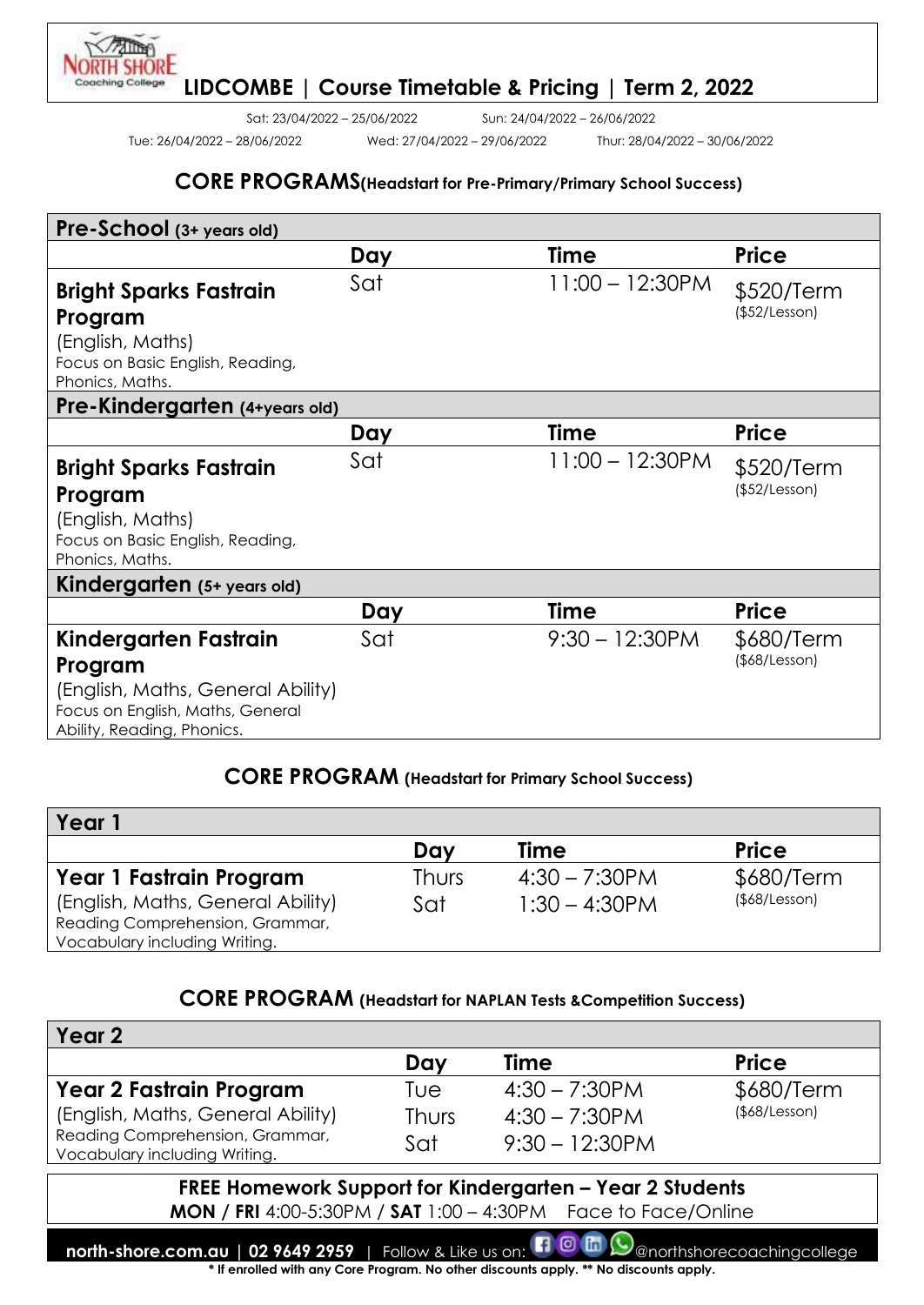Tue: 26/04/2022 – 28/06/2022 Wed: 27/04/2022 – 29/06/2022 Thur: 28/04/2022 – 30/06/2022

Sat: 23/04/2022 – 25/06/2022 Sun: 24/04/2022 – 26/06/2022

#### **CORE PROGRAMS(Headstart for Pre-Primary/Primary School Success)**

| Pre-School (3+ years old)                                                                                      |     |                    |                             |
|----------------------------------------------------------------------------------------------------------------|-----|--------------------|-----------------------------|
|                                                                                                                | Day | <b>Time</b>        | <b>Price</b>                |
| <b>Bright Sparks Fastrain</b><br>Program                                                                       | Sat | $11:00 - 12:30$ PM | \$520/Term<br>(\$52/Lesson) |
| (English, Maths)<br>Focus on Basic English, Reading,<br>Phonics, Maths.                                        |     |                    |                             |
| Pre-Kindergarten (4+years old)                                                                                 |     |                    |                             |
|                                                                                                                | Day | Time               | <b>Price</b>                |
| <b>Bright Sparks Fastrain</b>                                                                                  | Sat | $11:00 - 12:30$ PM | \$520/Term                  |
| Program                                                                                                        |     |                    | (\$52/Lesson)               |
| (English, Maths)<br>Focus on Basic English, Reading,<br>Phonics, Maths.                                        |     |                    |                             |
| Kindergarten (5+ years old)                                                                                    |     |                    |                             |
|                                                                                                                | Day | Time               | <b>Price</b>                |
| Kindergarten Fastrain                                                                                          | Sat | $9:30 - 12:30$ PM  | \$680/Term<br>(\$8/Lesson)  |
| Program<br>(English, Maths, General Ability)<br>Focus on English, Maths, General<br>Ability, Reading, Phonics. |     |                    |                             |

# **CORE PROGRAM (Headstart for Primary School Success)**

| Year                                                                                                                             |                     |                                      |                                   |
|----------------------------------------------------------------------------------------------------------------------------------|---------------------|--------------------------------------|-----------------------------------|
|                                                                                                                                  | Day                 | <b>Time</b>                          | <b>Price</b>                      |
| Year 1 Fastrain Program<br>(English, Maths, General Ability)<br>Reading Comprehension, Grammar,<br>Vocabulary including Writing. | <b>Thurs</b><br>Sat | $4:30 - 7:30$ PM<br>$1:30 - 4:30$ PM | \$680/Term<br>$($ \$68/Lesson $)$ |

#### **CORE PROGRAM (Headstart for NAPLAN Tests &Competition Success)**

| Year 2                                                           |              |                   |                     |
|------------------------------------------------------------------|--------------|-------------------|---------------------|
|                                                                  | Day          | Time              | <b>Price</b>        |
| <b>Year 2 Fastrain Program</b>                                   | Tue          | $4:30 - 7:30$ PM  | \$680/Term          |
| (English, Maths, General Ability)                                | <b>Thurs</b> | $4:30 - 7:30$ PM  | $($ \$68/Lesson $)$ |
| Reading Comprehension, Grammar,<br>Vocabulary including Writing. | Sat          | $9:30 - 12:30$ PM |                     |

**FREE Homework Support for Kindergarten – Year 2 Students MON / FRI** 4:00-5:30PM / **SAT** 1:00 – 4:30PM Face to Face/Online

**north-shore.com.au | 02 9649 2959** | Follow & Like us on:  $\Box$  @ morthshorecoachingcollege **\* If enrolled with any Core Program. No other discounts apply. \*\* No discounts apply.**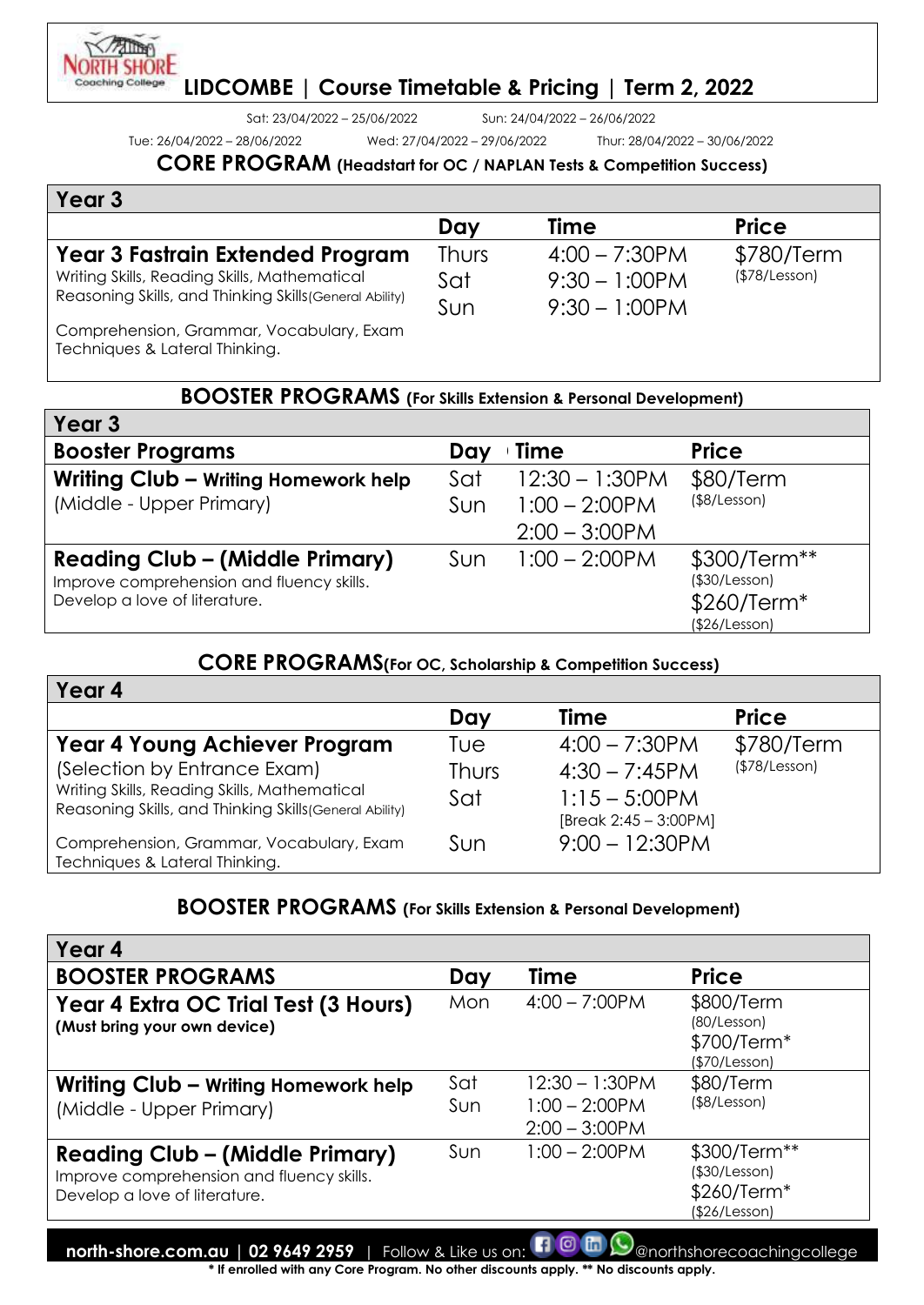Sat: 23/04/2022 – 25/06/2022 Sun: 24/04/2022 – 26/06/2022

Tue: 26/04/2022 – 28/06/2022 Wed: 27/04/2022 – 29/06/2022 Thur: 28/04/2022 – 30/06/2022

#### **CORE PROGRAM (Headstart for OC / NAPLAN Tests & Competition Success)**

| Year 3                                                                                                                                      |                            |                                                          |                             |
|---------------------------------------------------------------------------------------------------------------------------------------------|----------------------------|----------------------------------------------------------|-----------------------------|
|                                                                                                                                             | Day                        | <b>Time</b>                                              | <b>Price</b>                |
| Year 3 Fastrain Extended Program<br>Writing Skills, Reading Skills, Mathematical<br>Reasoning Skills, and Thinking Skills (General Ability) | <b>Thurs</b><br>Sat<br>Sun | $4:00 - 7:30$ PM<br>$9:30 - 1:00$ PM<br>$9:30 - 1:00$ PM | \$780/Term<br>(\$78/Lesson) |
| Comprehension, Grammar, Vocabulary, Exam<br>Techniques & Lateral Thinking.                                                                  |                            |                                                          |                             |
| $\mathbf{R}\cap\mathbf{R}$                                                                                                                  |                            |                                                          |                             |

#### **BOOSTER PROGRAMS (For Skills Extension & Personal Development)**

| Year 3                                                                                                               |                                                                         |                                                               |
|----------------------------------------------------------------------------------------------------------------------|-------------------------------------------------------------------------|---------------------------------------------------------------|
| <b>Booster Programs</b>                                                                                              | Time<br>Day                                                             | <b>Price</b>                                                  |
| Writing Club - Writing Homework help<br>(Middle - Upper Primary)                                                     | $12:30 - 1:30$ PM<br>Sat<br>$1:00 - 2:00$ PM<br>Sun<br>$2:00 - 3:00$ PM | \$80/Term<br>(\$8/Lesson)                                     |
| <b>Reading Club - (Middle Primary)</b><br>Improve comprehension and fluency skills.<br>Develop a love of literature. | $1:00 - 2:00$ PM<br>Sun                                                 | \$300/Term**<br>(\$30/Lesson)<br>\$260/Term*<br>(\$26/Lesson) |

#### **CORE PROGRAMS(For OC, Scholarship & Competition Success)**

| Year 4                                                  |              |                       |               |
|---------------------------------------------------------|--------------|-----------------------|---------------|
|                                                         | Day          | <b>Time</b>           | <b>Price</b>  |
| Year 4 Young Achiever Program                           | Tue          | $4:00 - 7:30$ PM      | \$780/Term    |
| (Selection by Entrance Exam)                            | <b>Thurs</b> | $4:30 - 7:45PM$       | (\$78/Lesson) |
| Writing Skills, Reading Skills, Mathematical            | Sat          | $1:15 - 5:00$ PM      |               |
| Reasoning Skills, and Thinking Skills (General Ability) |              | [Break 2:45 - 3:00PM] |               |
| Comprehension, Grammar, Vocabulary, Exam                | Sun          | $9:00 - 12:30$ PM     |               |
| Techniques & Lateral Thinking.                          |              |                       |               |

#### **BOOSTER PROGRAMS (For Skills Extension & Personal Development)**

| Year 4                                                                                                               |            |                                                            |                                                               |
|----------------------------------------------------------------------------------------------------------------------|------------|------------------------------------------------------------|---------------------------------------------------------------|
| <b>BOOSTER PROGRAMS</b>                                                                                              | Day        | Time                                                       | <b>Price</b>                                                  |
| Year 4 Extra OC Trial Test (3 Hours)<br>(Must bring your own device)                                                 | Mon        | $4:00 - 7:00$ PM                                           | \$800/Term<br>(80/Lesson)<br>\$700/Term*<br>(\$70/Lesson)     |
| Writing Club - Writing Homework help<br>(Middle - Upper Primary)                                                     | Sat<br>Sun | $12:30 - 1:30$ PM<br>$1:00 - 2:00 P M$<br>$2:00 - 3:00$ PM | \$80/Term<br>(\$8/Lesson)                                     |
| <b>Reading Club - (Middle Primary)</b><br>Improve comprehension and fluency skills.<br>Develop a love of literature. | Sun        | $1:00 - 2:00$ PM                                           | \$300/Term**<br>(\$30/Lesson)<br>\$260/Term*<br>(\$26/Lesson) |

**north-shore.com.au | 02 9649 2959** | Follow & Like us on: **[1 0 m (9** anorthshorecoachingcollege)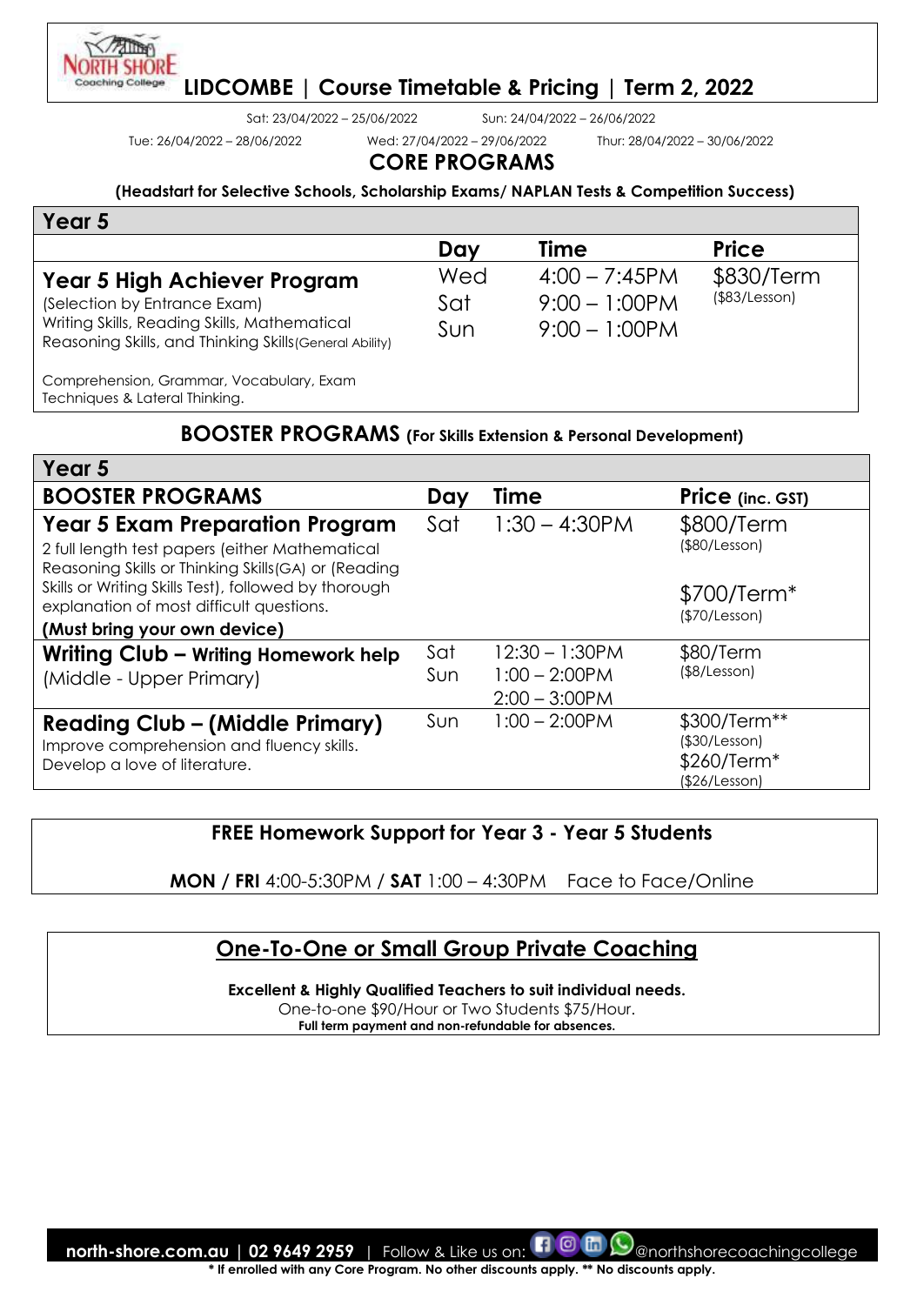

Sat: 23/04/2022 – 25/06/2022 Sun: 24/04/2022 – 26/06/2022

Tue: 26/04/2022 – 28/06/2022 Wed: 27/04/2022 – 29/06/2022 Thur: 28/04/2022 – 30/06/2022

# **CORE PROGRAMS**

**(Headstart for Selective Schools, Scholarship Exams/ NAPLAN Tests & Competition Success)**

| Year 5                                                                                                                                                                         |                   |                                                          |                                   |
|--------------------------------------------------------------------------------------------------------------------------------------------------------------------------------|-------------------|----------------------------------------------------------|-----------------------------------|
|                                                                                                                                                                                | Day               | <b>Time</b>                                              | <b>Price</b>                      |
| <b>Year 5 High Achiever Program</b><br>(Selection by Entrance Exam)<br>Writing Skills, Reading Skills, Mathematical<br>Reasoning Skills, and Thinking Skills (General Ability) | Wed<br>Sat<br>Sun | $4:00 - 7:45$ PM<br>$9:00 - 1:00$ PM<br>$9:00 - 1:00$ PM | \$830/Term<br>$($ \$83/Lesson $)$ |
| Comprehension, Grammar, Vocabulary, Exam<br>Techniques & Lateral Thinking.                                                                                                     |                   |                                                          |                                   |

#### **BOOSTER PROGRAMS (For Skills Extension & Personal Development)**

| Year 5                                                                                                                                           |     |                   |                                                               |
|--------------------------------------------------------------------------------------------------------------------------------------------------|-----|-------------------|---------------------------------------------------------------|
| <b>BOOSTER PROGRAMS</b>                                                                                                                          | Day | Time              | <b>Price</b> (inc. GST)                                       |
| <b>Year 5 Exam Preparation Program</b><br>2 full length test papers (either Mathematical<br>Reasoning Skills or Thinking Skills (GA) or (Reading | Sat | $1:30 - 4:30$ PM  | \$800/Term<br>(\$80/Lesson)                                   |
| Skills or Writing Skills Test), followed by thorough<br>explanation of most difficult questions.                                                 |     |                   | \$700/Term <sup>*</sup><br>(\$70/Lesson)                      |
| (Must bring your own device)                                                                                                                     |     |                   |                                                               |
| Writing Club - Writing Homework help                                                                                                             | Sat | $12:30 - 1:30$ PM | \$80/Term                                                     |
| (Middle - Upper Primary)                                                                                                                         | Sun | $1:00 - 2:00$ PM  | (\$8/Lesson)                                                  |
|                                                                                                                                                  |     | $2:00 - 3:00$ PM  |                                                               |
| <b>Reading Club - (Middle Primary)</b><br>Improve comprehension and fluency skills.<br>Develop a love of literature.                             | Sun | $1:00 - 2:00$ PM  | \$300/Term**<br>(\$30/Lesson)<br>\$260/Term*<br>(\$26/Lesson) |

# **FREE Homework Support for Year 3 - Year 5 Students**

**MON / FRI** 4:00-5:30PM / **SAT** 1:00 – 4:30PM Face to Face/Online

# **One-To-One or Small Group Private Coaching**

**Excellent & Highly Qualified Teachers to suit individual needs.** 

One-to-one \$90/Hour or Two Students \$75/Hour.

**Full term payment and non-refundable for absences.**

**north-shore.com.au | 02 9649 2959** | Follow & Like us on: **ENO CO** Conorthshorecoachingcollege **\* If enrolled with any Core Program. No other discounts apply. \*\* No discounts apply.**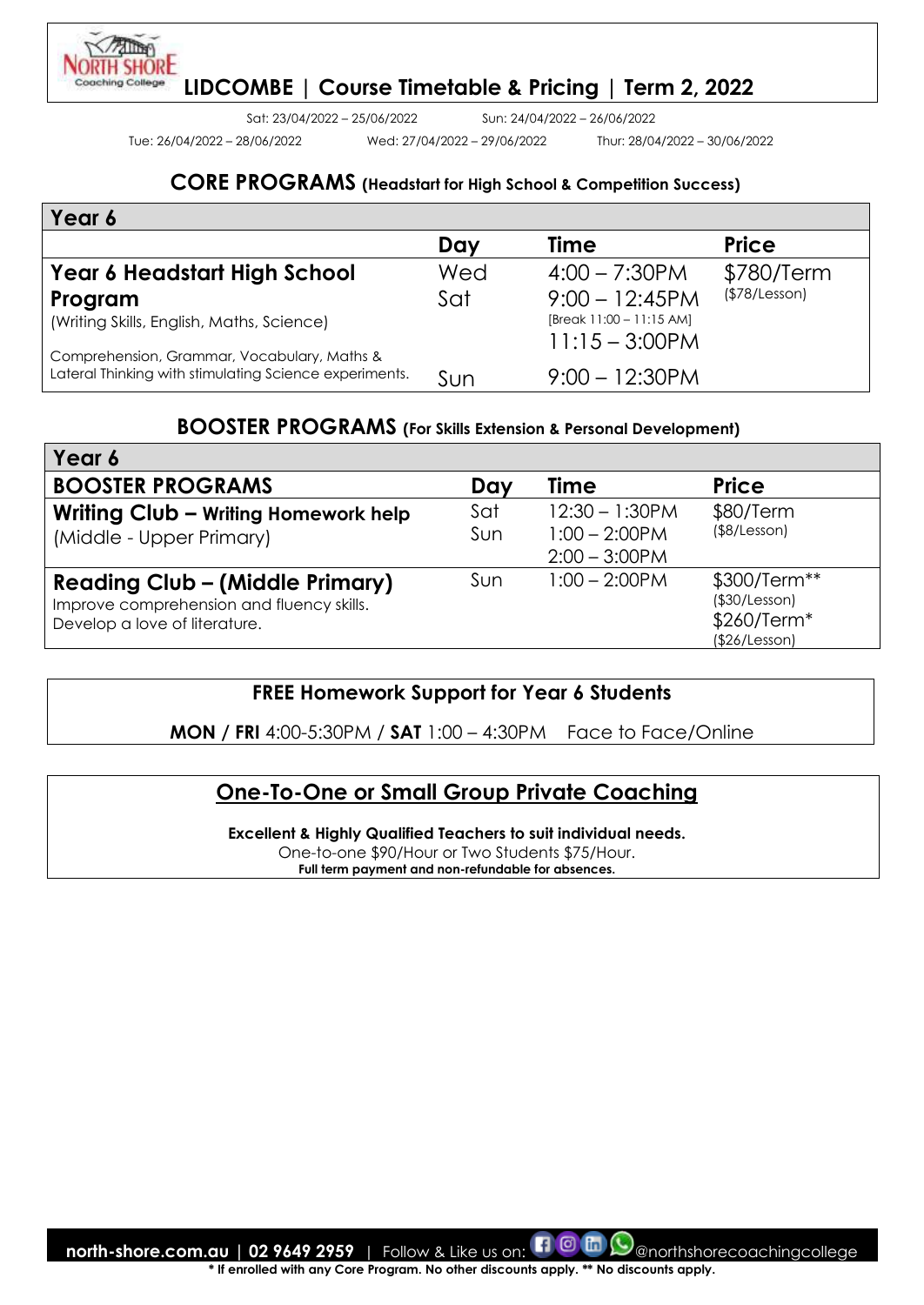

Sat: 23/04/2022 – 25/06/2022 Sun: 24/04/2022 – 26/06/2022

Tue: 26/04/2022 – 28/06/2022 Wed: 27/04/2022 – 29/06/2022 Thur: 28/04/2022 – 30/06/2022

#### **CORE PROGRAMS (Headstart for High School & Competition Success)**

| Year 6                                                 |     |                            |               |
|--------------------------------------------------------|-----|----------------------------|---------------|
|                                                        | Day | <b>Time</b>                | <b>Price</b>  |
| Year 6 Headstart High School                           | Wed | $4:00 - 7:30$ PM           | \$780/Term    |
| Program                                                | Sat | $9:00 - 12:45PM$           | (\$78/Lesson) |
| (Writing Skills, English, Maths, Science)              |     | [Break $11:00 - 11:15$ AM] |               |
| Comprehension, Grammar, Vocabulary, Maths &            |     | $11:15 - 3:00$ PM          |               |
| Lateral Thinking with stimulating Science experiments. | Sun | $9:00 - 12:30$ PM          |               |

# **BOOSTER PROGRAMS (For Skills Extension & Personal Development)**

| Year 6                                                                                                               |            |                                                           |                                                               |
|----------------------------------------------------------------------------------------------------------------------|------------|-----------------------------------------------------------|---------------------------------------------------------------|
| <b>BOOSTER PROGRAMS</b>                                                                                              | Day        | Time                                                      | <b>Price</b>                                                  |
| Writing Club - Writing Homework help<br>(Middle - Upper Primary)                                                     | Sat<br>Sun | $12:30 - 1:30$ PM<br>$1:00 - 2:00$ PM<br>$2:00 - 3:00$ PM | \$80/Term<br>$($ \$8/Lesson $)$                               |
| <b>Reading Club - (Middle Primary)</b><br>Improve comprehension and fluency skills.<br>Develop a love of literature. | Sun        | $1:00 - 2:00$ PM                                          | \$300/Term**<br>(\$30/Lesson)<br>\$260/Term*<br>(\$26/Lesson) |

#### **FREE Homework Support for Year 6 Students**

**MON / FRI** 4:00-5:30PM / **SAT** 1:00 – 4:30PM Face to Face/Online

# **One-To-One or Small Group Private Coaching**

**Excellent & Highly Qualified Teachers to suit individual needs.** 

One-to-one \$90/Hour or Two Students \$75/Hour. **Full term payment and non-refundable for absences.**

**north-shore.com.au | 02 9649 2959** | Follow & Like us on:  $\Box$  @  $\Box$  @northshorecoachingcollege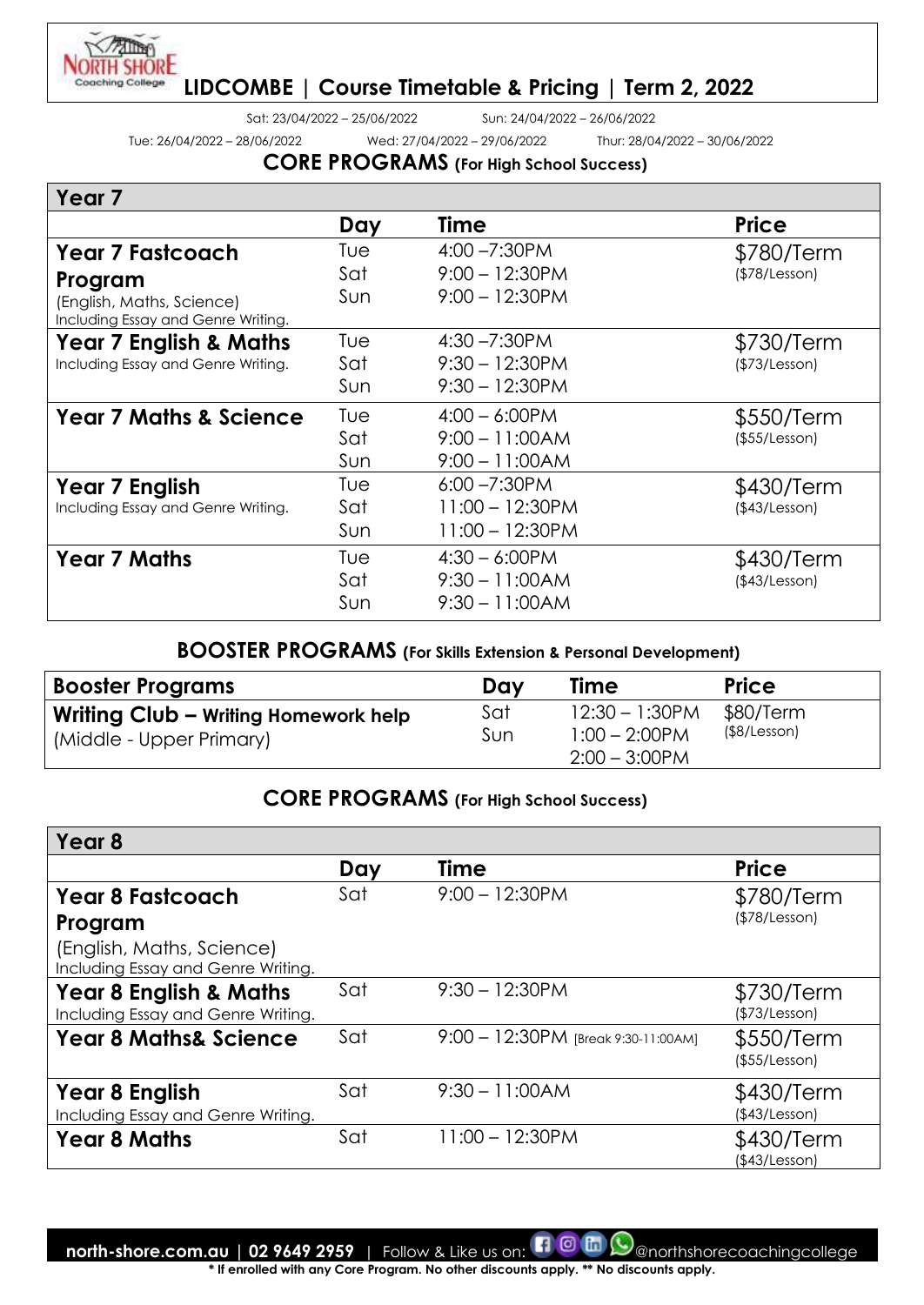

Sat: 23/04/2022 – 25/06/2022 Sun: 24/04/2022 – 26/06/2022

Tue: 26/04/2022 – 28/06/2022 Wed: 27/04/2022 – 29/06/2022 Thur: 28/04/2022 – 30/06/2022

**CORE PROGRAMS (For High School Success)**

| Day | Time               | <b>Price</b>      |
|-----|--------------------|-------------------|
| Tue | $4:00 - 7:30$ PM   | \$780/Term        |
| Sat | $9:00 - 12:30$ PM  | (\$78/Lesson)     |
| Sun |                    |                   |
| Tue | $4:30 - 7:30$ PM   | \$730/Term        |
| Sat | $9:30 - 12:30$ PM  | (\$73/Lesson)     |
| Sun | $9:30 - 12:30$ PM  |                   |
| Tue | $4:00 - 6:00$ PM   | \$550/Term        |
| Sat | $9:00 - 11:00AM$   | (\$55/Lesson)     |
| Sun | $9:00 - 11:00AM$   |                   |
| Tue | $6:00 - 7:30$ PM   | \$430/Term        |
| Sat | $11:00 - 12:30$ PM | (\$43/Lesson)     |
| Sun | $11:00 - 12:30$ PM |                   |
| Tue | $4:30 - 6:00$ PM   | \$430/Term        |
| Sat | $9:30 - 11:00AM$   | (\$43/Lesson)     |
| Sun | $9:30 - 11:00AM$   |                   |
|     |                    | $9:00 - 12:30$ PM |

### **BOOSTER PROGRAMS (For Skills Extension & Personal Development)**

| <b>Booster Programs</b>                                          | Day        | Time                                                      | <b>Price</b>              |
|------------------------------------------------------------------|------------|-----------------------------------------------------------|---------------------------|
| Writing Club - Writing Homework help<br>(Middle - Upper Primary) | Sat<br>Sun | $12:30 - 1:30$ PM<br>$1:00 - 2:00$ PM<br>$2:00 - 3:00$ PM | \$80/Term<br>(\$8/Lesson) |

# **CORE PROGRAMS (For High School Success)**

| Year <sub>8</sub>                                                       |     |                                     |                             |
|-------------------------------------------------------------------------|-----|-------------------------------------|-----------------------------|
|                                                                         | Day | <b>Time</b>                         | <b>Price</b>                |
| <b>Year 8 Fastcoach</b>                                                 | Sat | $9:00 - 12:30$ PM                   | \$780/Term                  |
| Program                                                                 |     |                                     | (\$78/Lesson)               |
| (English, Maths, Science)<br>Including Essay and Genre Writing.         |     |                                     |                             |
| <b>Year 8 English &amp; Maths</b><br>Including Essay and Genre Writing. | Sat | $9:30 - 12:30$ PM                   | \$730/Term<br>(\$73/Lesson) |
| <b>Year 8 Maths&amp; Science</b>                                        | Sat | 9:00 - 12:30PM [Break 9:30-11:00AM] | \$550/Term<br>(\$55/Lesson) |
| Year 8 English<br>Including Essay and Genre Writing.                    | Sat | $9:30 - 11:00AM$                    | \$430/Term<br>(\$43/Lesson) |
| <b>Year 8 Maths</b>                                                     | Sat | $11:00 - 12:30$ PM                  | \$430/Term<br>(\$43/Lesson) |

**north-shore.com.au | 02 9649 2959** | Follow & Like us on: **[1 0 m (9** anorthshorecoachingcollege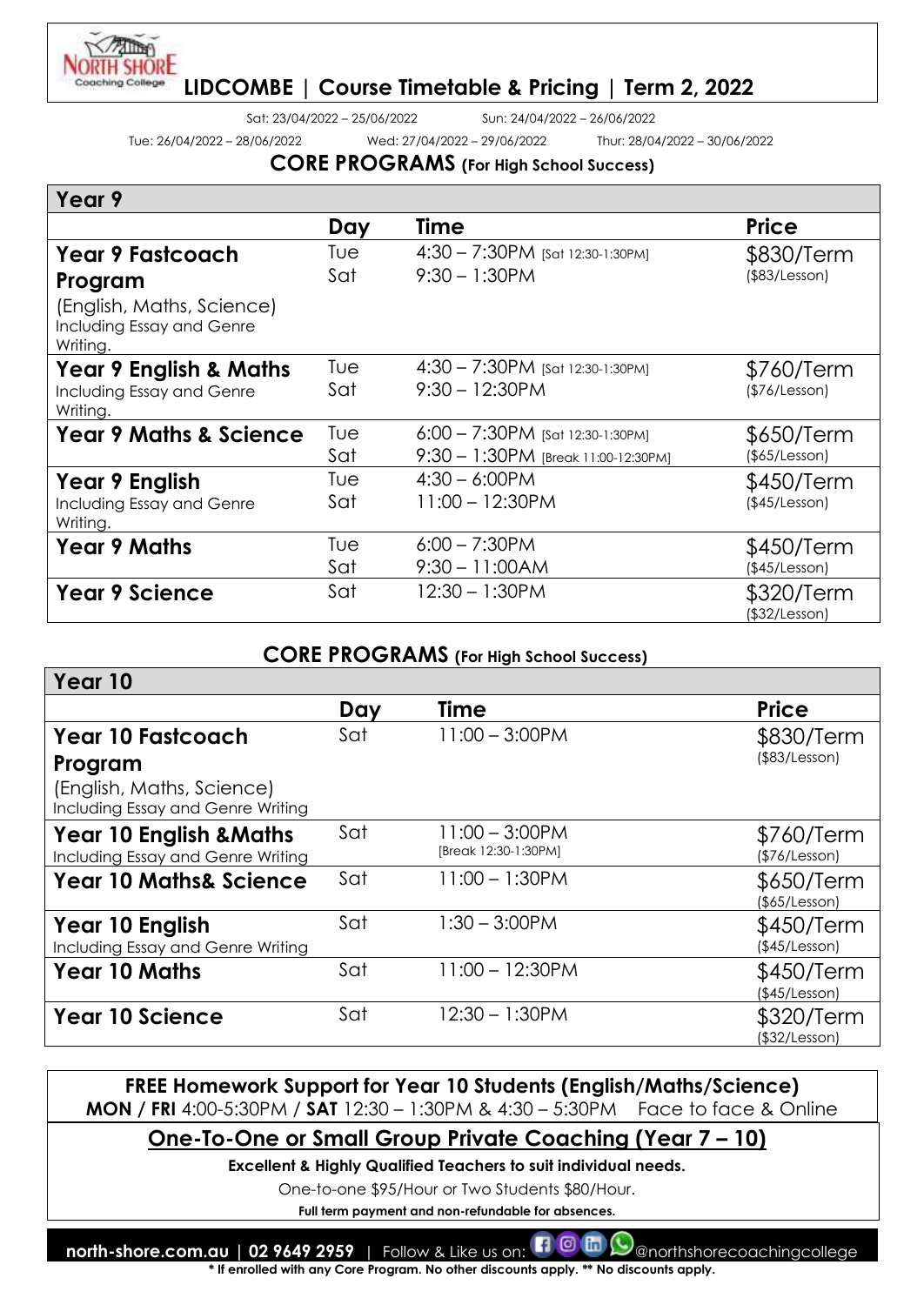

**Year 10**

# **LIDCOMBE | Course Timetable & Pricing | Term 2, 2022**

Sat: 23/04/2022 – 25/06/2022 Sun: 24/04/2022 – 26/06/2022

Tue: 26/04/2022 – 28/06/2022 Wed: 27/04/2022 – 29/06/2022 Thur: 28/04/2022 – 30/06/2022

#### **CORE PROGRAMS (For High School Success)**

| Year 9                                                             |     |                                      |                             |
|--------------------------------------------------------------------|-----|--------------------------------------|-----------------------------|
|                                                                    | Day | Time                                 | <b>Price</b>                |
| <b>Year 9 Fastcoach</b>                                            | Tue | 4:30 - 7:30PM [Sat 12:30-1:30PM]     | \$830/Term                  |
| Program                                                            | Sat | $9:30 - 1:30$ PM                     | (\$83/Lesson)               |
| (English, Maths, Science)<br>Including Essay and Genre<br>Writing. |     |                                      |                             |
| <b>Year 9 English &amp; Maths</b>                                  | Tue | $4:30 - 7:30$ PM [Sat 12:30-1:30 PM] | \$760/Term                  |
| Including Essay and Genre<br>Writing.                              | Sat | $9:30 - 12:30$ PM                    | (\$76/Lesson)               |
| <b>Year 9 Maths &amp; Science</b>                                  | Tue | 6:00 - 7:30PM [Sat 12:30-1:30PM]     | \$650/Term                  |
|                                                                    | Sat | 9:30 - 1:30PM [Break 11:00-12:30PM]  | (\$5/Lesson)                |
| Year 9 English                                                     | Tue | $4:30 - 6:00$ PM                     | \$450/Term                  |
| Including Essay and Genre<br>Writing.                              | Sat | $11:00 - 12:30$ PM                   | (\$45/Lesson)               |
| <b>Year 9 Maths</b>                                                | Tue | $6:00 - 7:30$ PM                     | \$450/Term                  |
|                                                                    | Sat | $9:30 - 11:00AM$                     | (\$45/Lesson)               |
| <b>Year 9 Science</b>                                              | Sat | 12:30 - 1:30PM                       | \$320/Term<br>(\$32/Lesson) |

#### **CORE PROGRAMS (For High School Success)**

| Tear Tu                                                                 |     |                                           |                             |
|-------------------------------------------------------------------------|-----|-------------------------------------------|-----------------------------|
|                                                                         | Day | <b>Time</b>                               | <b>Price</b>                |
| <b>Year 10 Fastcoach</b>                                                | Sat | $11:00 - 3:00$ PM                         | \$830/Term                  |
| Program                                                                 |     |                                           | $($ \$83/Lesson $)$         |
| (English, Maths, Science)<br>Including Essay and Genre Writing          |     |                                           |                             |
| <b>Year 10 English &amp; Maths</b><br>Including Essay and Genre Writing | Sat | $11:00 - 3:00$ PM<br>[Break 12:30-1:30PM] | \$760/Term<br>(\$76/Lesson) |
| <b>Year 10 Maths&amp; Science</b>                                       | Sat | $11:00 - 1:30$ PM                         | \$650/Term<br>(\$65/Lesson) |
| Year 10 English                                                         | Sat | $1:30 - 3:00$ PM                          | \$450/Term                  |
| Including Essay and Genre Writing                                       |     |                                           | (\$45/Lesson)               |
| <b>Year 10 Maths</b>                                                    | Sat | $11:00 - 12:30PM$                         | \$450/Term<br>(\$45/Lesson) |
| <b>Year 10 Science</b>                                                  | Sat | $12:30 - 1:30$ PM                         | \$320/Term<br>(\$32/Lesson) |

#### **FREE Homework Support for Year 10 Students (English/Maths/Science) MON / FRI** 4:00-5:30PM / **SAT** 12:30 – 1:30PM & 4:30 – 5:30PM Face to face & Online

**One-To-One or Small Group Private Coaching (Year 7 – 10)**

**Excellent & Highly Qualified Teachers to suit individual needs.** 

One-to-one \$95/Hour or Two Students \$80/Hour.

**Full term payment and non-refundable for absences.**

**north-shore.com.au | 02 9649 2959** | Follow & Like us on: **[1 0 m**  $\odot$  anorthshorecoachingcollege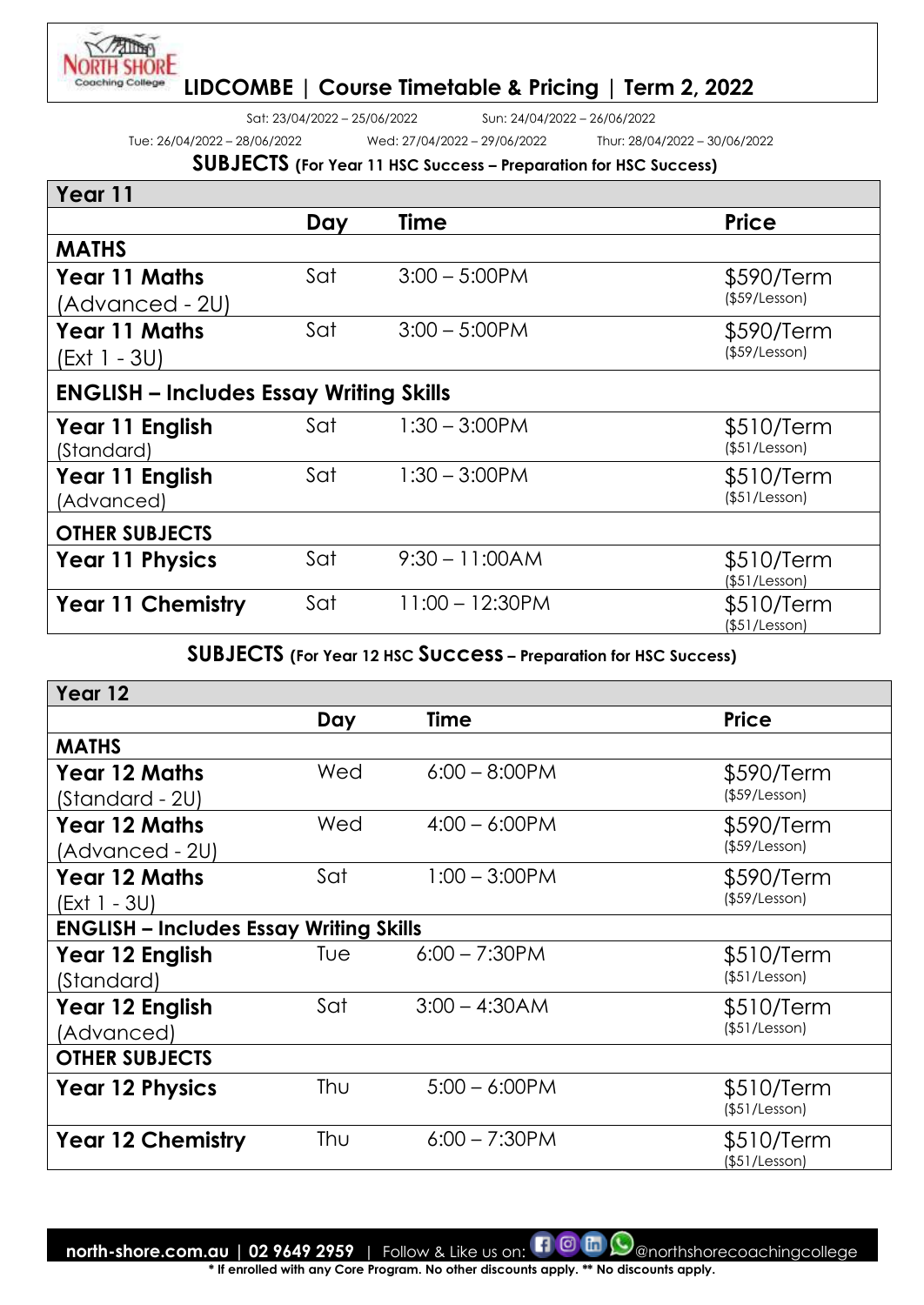

Sat: 23/04/2022 – 25/06/2022 Sun: 24/04/2022 – 26/06/2022

Tue: 26/04/2022 – 28/06/2022 Wed: 27/04/2022 – 29/06/2022 Thur: 28/04/2022 – 30/06/2022

# **SUBJECTS (For Year 11 HSC Success – Preparation for HSC Success)**

| Year 11                                        |     |                    |                             |  |
|------------------------------------------------|-----|--------------------|-----------------------------|--|
|                                                | Day | <b>Time</b>        | <b>Price</b>                |  |
| <b>MATHS</b>                                   |     |                    |                             |  |
| <b>Year 11 Maths</b><br>(Advanced - 2U)        | Sat | $3:00 - 5:00$ PM   | \$590/Term<br>(\$59/Lesson) |  |
| <b>Year 11 Maths</b><br>(Ext 1 - 3U)           | Sat | $3:00 - 5:00$ PM   | \$590/Term<br>(\$59/Lesson) |  |
| <b>ENGLISH - Includes Essay Writing Skills</b> |     |                    |                             |  |
| Year 11 English<br>(Standard)                  | Sat | $1:30 - 3:00$ PM   | \$510/Term<br>(\$51/Lesson) |  |
| Year 11 English<br>(Advanced)                  | Sat | $1:30 - 3:00$ PM   | \$510/Term<br>(\$51/Lesson) |  |
| <b>OTHER SUBJECTS</b>                          |     |                    |                             |  |
| <b>Year 11 Physics</b>                         | Sat | $9:30 - 11:00AM$   | \$510/Term<br>(\$51/Lesson) |  |
| <b>Year 11 Chemistry</b>                       | Sat | $11:00 - 12:30$ PM | \$510/Term<br>(\$51/Lesson) |  |

#### **SUBJECTS (For Year 12 HSC Success – Preparation for HSC Success)**

| Year 12                                        |     |                  |                     |  |
|------------------------------------------------|-----|------------------|---------------------|--|
|                                                | Day | <b>Time</b>      | <b>Price</b>        |  |
| <b>MATHS</b>                                   |     |                  |                     |  |
| <b>Year 12 Maths</b>                           | Wed | $6:00 - 8:00$ PM | \$590/Term          |  |
| (Standard - 2U)                                |     |                  | (\$59/Lesson)       |  |
| <b>Year 12 Maths</b>                           | Wed | $4:00 - 6:00$ PM | \$590/Term          |  |
| (Advanced - 2U)                                |     |                  | (\$59/Lesson)       |  |
| <b>Year 12 Maths</b>                           | Sat | $1:00 - 3:00$ PM | \$590/Term          |  |
| (Ext 1 - 3U)                                   |     |                  | $($ \$59/Lesson $)$ |  |
| <b>ENGLISH - Includes Essay Writing Skills</b> |     |                  |                     |  |
| Year 12 English                                | Tue | $6:00 - 7:30$ PM | \$510/Term          |  |
| (Standard)                                     |     |                  | (\$51/Lesson)       |  |
| Year 12 English                                | Sat | $3:00 - 4:30AM$  | \$510/Term          |  |
| (Advanced)                                     |     |                  | (\$51/Lesson)       |  |
| <b>OTHER SUBJECTS</b>                          |     |                  |                     |  |
| <b>Year 12 Physics</b>                         | Thu | $5:00 - 6:00$ PM | \$510/Term          |  |
|                                                |     |                  | (\$51/Lesson)       |  |
| <b>Year 12 Chemistry</b>                       | Thu | $6:00 - 7:30$ PM | \$510/Term          |  |
|                                                |     |                  | (\$51/Lesson)       |  |